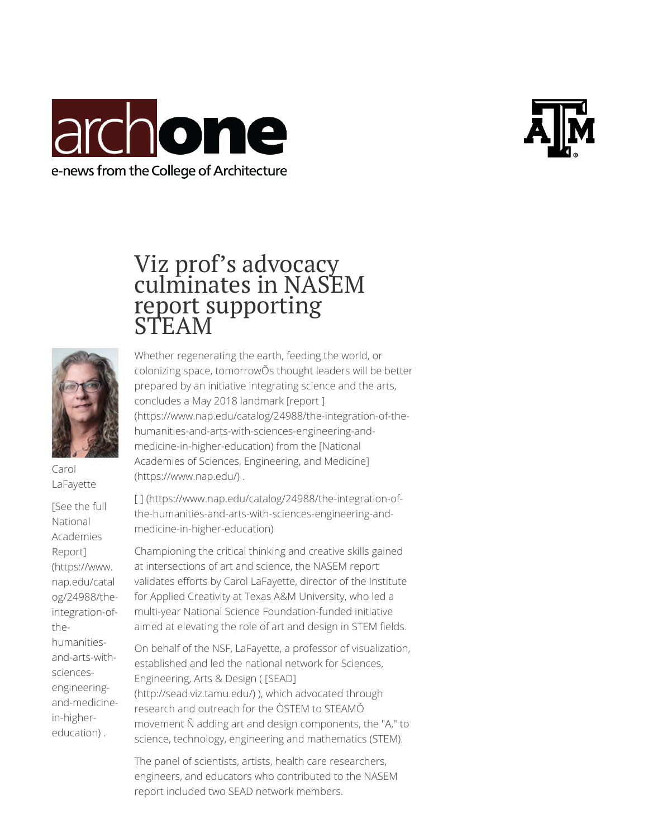





Carol LaFayette

[See the full National Academies Report] (https://www. nap.edu/catal og/24988/theintegration-ofthehumanitiesand-arts-withsciencesengineeringand-medicinein-highereducation) .

## Viz prof's advocacy culminates in NASEM report supporting STEAM

Whether regenerating the earth, feeding the world, or colonizing space, tomorrowOs thought leaders will be better prepared by an initiative integrating science and the arts, concludes a May 2018 landmark [report ] (https://www.nap.edu/catalog/24988/the-integration-of-thehumanities-and-arts-with-sciences-engineering-andmedicine-in-higher-education) from the [National Academies of Sciences, Engineering, and Medicine] (https://www.nap.edu/) .

[ ] (https://www.nap.edu/catalog/24988/the-integration-ofthe-humanities-and-arts-with-sciences-engineering-andmedicine-in-higher-education)

Championing the critical thinking and creative skills gained at intersections of art and science, the NASEM report validates efforts by Carol LaFayette, director of the Institute for Applied Creativity at Texas A&M University, who led a multi-year National Science Foundation-funded initiative aimed at elevating the role of art and design in STEM fields.

On behalf of the NSF, LaFayette, a professor of visualization, established and led the national network for Sciences, Engineering, Arts & Design ( [SEAD] (http://sead.viz.tamu.edu/) ), which advocated through research and outreach for the OSTEM to STEAMO movement  $\tilde{N}$  adding art and design components, the "A," to science, technology, engineering and mathematics (STEM).

The panel of scientists, artists, health care researchers, engineers, and educators who contributed to the NASEM report included two SEAD network members.